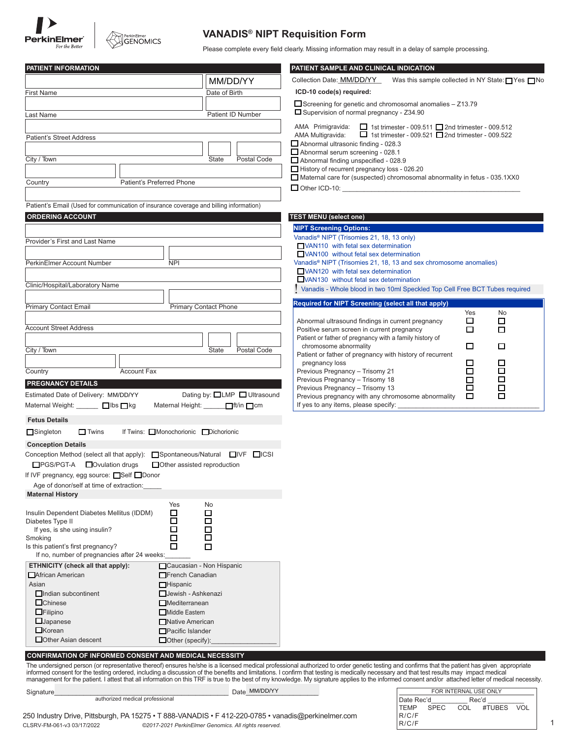



## **VANADIS® NIPT Requisition Form**

Please complete every field clearly. Missing information may result in a delay of sample processing.

| PATIENT INFORMATION                                                                    |                                     | PATIENT SAMPLE AND CLINICAL INDICATION                                                                                    |                                                             |
|----------------------------------------------------------------------------------------|-------------------------------------|---------------------------------------------------------------------------------------------------------------------------|-------------------------------------------------------------|
|                                                                                        | MM/DD/YY                            | Collection Date: MM/DD/YY                                                                                                 | Was this sample collected in NY State: $\Box$ Yes $\Box$ No |
| <b>First Name</b>                                                                      | Date of Birth                       | ICD-10 code(s) required:                                                                                                  |                                                             |
|                                                                                        |                                     | Screening for genetic and chromosomal anomalies - Z13.79                                                                  |                                                             |
| Last Name                                                                              | Patient ID Number                   | □ Supervision of normal pregnancy - Z34.90                                                                                |                                                             |
|                                                                                        |                                     | AMA Primigravida:<br>$\Box$ 1st trimester - 009.511 $\Box$ 2nd trimester - 009.512                                        |                                                             |
| <b>Patient's Street Address</b>                                                        |                                     | $\Box$ 1st trimester - 009.521 $\Box$ 2nd trimester - 009.522<br>AMA Multigravida:<br>Abnormal ultrasonic finding - 028.3 |                                                             |
|                                                                                        |                                     | Abnormal serum screening - 028.1                                                                                          |                                                             |
| City / Town                                                                            | <b>State</b><br>Postal Code         | Abnormal finding unspecified - 028.9                                                                                      |                                                             |
|                                                                                        |                                     | History of recurrent pregnancy loss - 026.20<br>Maternal care for (suspected) chromosomal abnormality in fetus - 035.1XX0 |                                                             |
| Country<br>Patient's Preferred Phone                                                   |                                     | $\Box$ Other ICD-10:                                                                                                      |                                                             |
|                                                                                        |                                     |                                                                                                                           |                                                             |
| Patient's Email (Used for communication of insurance coverage and billing information) |                                     |                                                                                                                           |                                                             |
| <b>ORDERING ACCOUNT</b>                                                                |                                     | <b>TEST MENU (select one)</b>                                                                                             |                                                             |
|                                                                                        |                                     | <b>NIPT Screening Options:</b><br>Vanadis® NIPT (Trisomies 21, 18, 13 only)                                               |                                                             |
| Provider's First and Last Name                                                         |                                     | VAN110 with fetal sex determination                                                                                       |                                                             |
|                                                                                        |                                     | VAN100 without fetal sex determination                                                                                    |                                                             |
| PerkinElmer Account Number<br><b>NPI</b>                                               |                                     | Vanadis <sup>®</sup> NIPT (Trisomies 21, 18, 13 and sex chromosome anomalies)<br>VAN120 with fetal sex determination      |                                                             |
|                                                                                        |                                     | VAN130 without fetal sex determination                                                                                    |                                                             |
| Clinic/Hospital/Laboratory Name                                                        |                                     | Vanadis - Whole blood in two 10ml Speckled Top Cell Free BCT Tubes required                                               |                                                             |
| <b>Primary Contact Email</b>                                                           | <b>Primary Contact Phone</b>        | Required for NIPT Screening (select all that apply)                                                                       |                                                             |
|                                                                                        |                                     |                                                                                                                           | No<br>Yes                                                   |
| <b>Account Street Address</b>                                                          |                                     | Abnormal ultrasound findings in current pregnancy<br>Positive serum screen in current pregnancy                           | $\Box$<br>□<br>□<br>□                                       |
|                                                                                        |                                     | Patient or father of pregnancy with a family history of                                                                   |                                                             |
| City / Town                                                                            | <b>State</b><br>Postal Code         | chromosome abnormality                                                                                                    | □<br>□                                                      |
|                                                                                        |                                     | Patient or father of pregnancy with history of recurrent<br>pregnancy loss                                                | $\Box$<br>□                                                 |
| <b>Account Fax</b><br>Country                                                          |                                     | Previous Pregnancy - Trisomy 21                                                                                           | $\Box$<br>$\Box$                                            |
| <b>PREGNANCY DETAILS</b>                                                               |                                     | Previous Pregnancy - Trisomy 18                                                                                           | □<br>$\Box$<br>$\Box$                                       |
| Estimated Date of Delivery: MM/DD/YY                                                   | Dating by: <b>□LMP</b> ■ Ultrasound | Previous Pregnancy - Trisomy 13<br>Previous pregnancy with any chromosome abnormality                                     | $\Box$<br>□                                                 |
| Maternal Weight: □ □ lbs □ kg                                                          | Maternal Height: Fit/in □ cm        | If yes to any items, please specify:                                                                                      |                                                             |
| <b>Fetus Details</b>                                                                   |                                     |                                                                                                                           |                                                             |
| $\Box$ Singleton<br>$\Box$ Twins<br>If Twins: Monochorionic Dichorionic                |                                     |                                                                                                                           |                                                             |
| <b>Conception Details</b>                                                              |                                     |                                                                                                                           |                                                             |
| Conception Method (select all that apply): Spontaneous/Natural IVF IICSI               |                                     |                                                                                                                           |                                                             |
| □PGS/PGT-A □ Ovulation drugs<br>Other assisted reproduction                            |                                     |                                                                                                                           |                                                             |
| If IVF pregnancy, egg source: $\Box$ Self $\Box$ Donor                                 |                                     |                                                                                                                           |                                                             |
| Age of donor/self at time of extraction:                                               |                                     |                                                                                                                           |                                                             |
| <b>Maternal History</b>                                                                |                                     |                                                                                                                           |                                                             |
| Yes<br>□<br>Insulin Dependent Diabetes Mellitus (IDDM)                                 | No<br>□                             |                                                                                                                           |                                                             |
| $\Box$<br>Diabetes Type II                                                             | □                                   |                                                                                                                           |                                                             |
| □<br>If yes, is she using insulin?                                                     | □<br>□                              |                                                                                                                           |                                                             |
| Smoking<br>□<br>Is this patient's first pregnancy?<br>□                                | □                                   |                                                                                                                           |                                                             |
| If no, number of pregnancies after 24 weeks:                                           |                                     |                                                                                                                           |                                                             |
| ETHNICITY (check all that apply):                                                      | Caucasian - Non Hispanic            |                                                                                                                           |                                                             |
| African American<br>French Canadian                                                    |                                     |                                                                                                                           |                                                             |
| Asian<br>$\Box$ Hispanic<br>$\Box$ Indian subcontinent<br>Jewish - Ashkenazi           |                                     |                                                                                                                           |                                                             |
| $\Box$ Chinese<br>$\Box$ Mediterranean                                                 |                                     |                                                                                                                           |                                                             |
| $\Box$ Filipino<br>Middle Eastern                                                      |                                     |                                                                                                                           |                                                             |
| $\Box$ Japanese<br>Native American                                                     |                                     |                                                                                                                           |                                                             |
| $\Box$ Korean<br>Pacific Islander                                                      |                                     |                                                                                                                           |                                                             |
| Other Asian descent<br>$\Box$ Other (specify):                                         |                                     |                                                                                                                           |                                                             |
| <b>CONFIRMATION OF INFORMED CONSENT AND MEDICAL NECESSITY</b>                          |                                     |                                                                                                                           |                                                             |

The undersigned person (or representative thereof) ensures he/she is a licensed medical professional authorized to order genetic testing and confirms that the patient has given appropriate<br>informed consent for the testing

|  | .  |  |
|--|----|--|
|  | הו |  |

authorized medical professional

Signature\_\_\_\_\_\_\_\_\_\_\_\_\_\_\_\_\_\_\_\_\_\_\_\_\_\_\_\_\_\_\_\_\_\_\_\_\_\_\_\_\_\_\_\_\_\_\_\_ Date\_\_\_\_\_\_\_\_\_\_\_\_\_\_\_\_\_\_\_\_ MM/DD/YY

250 Industry Drive, Pittsburgh, PA 15275 • T 888-VANADIS • F 412-220-0785 • vanadis@perkinelmer.com CLSRV-FM-061-v3 03/17/2022 ©2017-2021 PerkinElmer Genomics. All rights reserved.

| FUR INTERNAL UJE UNLI |            |                                                                                                                                                                                                                                |                |  |  |
|-----------------------|------------|--------------------------------------------------------------------------------------------------------------------------------------------------------------------------------------------------------------------------------|----------------|--|--|
| Date Rec'd            |            | Rec'd and the second state of the second state in the second state of the second state in the second state in the second state in the second state in the second state in the second state in the second state in the second s |                |  |  |
|                       | ITEMP SPEC |                                                                                                                                                                                                                                | COL #TUBES VOL |  |  |
| R/C/F                 |            |                                                                                                                                                                                                                                |                |  |  |
| R/C/F                 |            |                                                                                                                                                                                                                                |                |  |  |

FOR INTERNAL USE ONLY